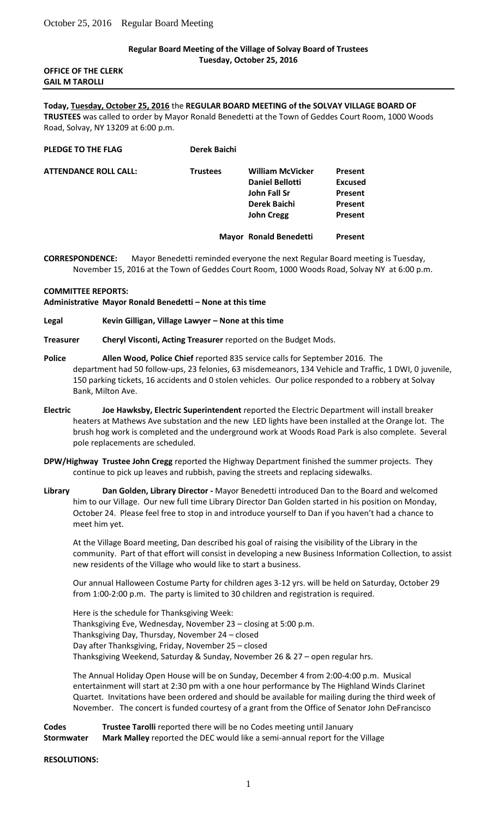# **Regular Board Meeting of the Village of Solvay Board of Trustees Tuesday, October 25, 2016**

### **OFFICE OF THE CLERK GAIL M TAROLLI**

### **Today, Tuesday, October 25, 2016** the **REGULAR BOARD MEETING of the SOLVAY VILLAGE BOARD OF TRUSTEES** was called to order by Mayor Ronald Benedetti at the Town of Geddes Court Room, 1000 Woods Road, Solvay, NY 13209 at 6:00 p.m.

| PLEDGE TO THE FLAG           | Derek Baichi    |                                                                                                        |                                                            |
|------------------------------|-----------------|--------------------------------------------------------------------------------------------------------|------------------------------------------------------------|
| <b>ATTENDANCE ROLL CALL:</b> | <b>Trustees</b> | <b>William McVicker</b><br><b>Daniel Bellotti</b><br>John Fall Sr<br>Derek Baichi<br><b>John Cregg</b> | Present<br><b>Excused</b><br>Present<br>Present<br>Present |
|                              |                 | <b>Mayor Ronald Benedetti</b>                                                                          | Present                                                    |

# **CORRESPONDENCE:** Mayor Benedetti reminded everyone the next Regular Board meeting is Tuesday, November 15, 2016 at the Town of Geddes Court Room, 1000 Woods Road, Solvay NY at 6:00 p.m.

#### **COMMITTEE REPORTS:**

# **Administrative Mayor Ronald Benedetti – None at this time**

### **Legal Kevin Gilligan, Village Lawyer – None at this time**

# **Treasurer Cheryl Visconti, Acting Treasurer** reported on the Budget Mods.

- **Police Allen Wood, Police Chief** reported 835 service calls for September 2016. The department had 50 follow-ups, 23 felonies, 63 misdemeanors, 134 Vehicle and Traffic, 1 DWI, 0 juvenile, 150 parking tickets, 16 accidents and 0 stolen vehicles. Our police responded to a robbery at Solvay Bank, Milton Ave.
- **Electric Joe Hawksby, Electric Superintendent** reported the Electric Department will install breaker heaters at Mathews Ave substation and the new LED lights have been installed at the Orange lot. The brush hog work is completed and the underground work at Woods Road Park is also complete. Several pole replacements are scheduled.
- **DPW/Highway Trustee John Cregg** reported the Highway Department finished the summer projects. They continue to pick up leaves and rubbish, paving the streets and replacing sidewalks.
- **Library Dan Golden, Library Director -** Mayor Benedetti introduced Dan to the Board and welcomed him to our Village. Our new full time Library Director Dan Golden started in his position on Monday, October 24. Please feel free to stop in and introduce yourself to Dan if you haven't had a chance to meet him yet.

At the Village Board meeting, Dan described his goal of raising the visibility of the Library in the community. Part of that effort will consist in developing a new Business Information Collection, to assist new residents of the Village who would like to start a business.

Our annual Halloween Costume Party for children ages 3-12 yrs. will be held on Saturday, October 29 from 1:00-2:00 p.m. The party is limited to 30 children and registration is required.

Here is the schedule for Thanksgiving Week: Thanksgiving Eve, Wednesday, November 23 – closing at 5:00 p.m. Thanksgiving Day, Thursday, November 24 – closed Day after Thanksgiving, Friday, November 25 – closed Thanksgiving Weekend, Saturday & Sunday, November 26 & 27 – open regular hrs.

The Annual Holiday Open House will be on Sunday, December 4 from 2:00-4:00 p.m. Musical entertainment will start at 2:30 pm with a one hour performance by The Highland Winds Clarinet Quartet. Invitations have been ordered and should be available for mailing during the third week of November. The concert is funded courtesy of a grant from the Office of Senator John DeFrancisco

**Codes Trustee Tarolli** reported there will be no Codes meeting until January **Stormwater Mark Malley** reported the DEC would like a semi-annual report for the Village

#### **RESOLUTIONS:**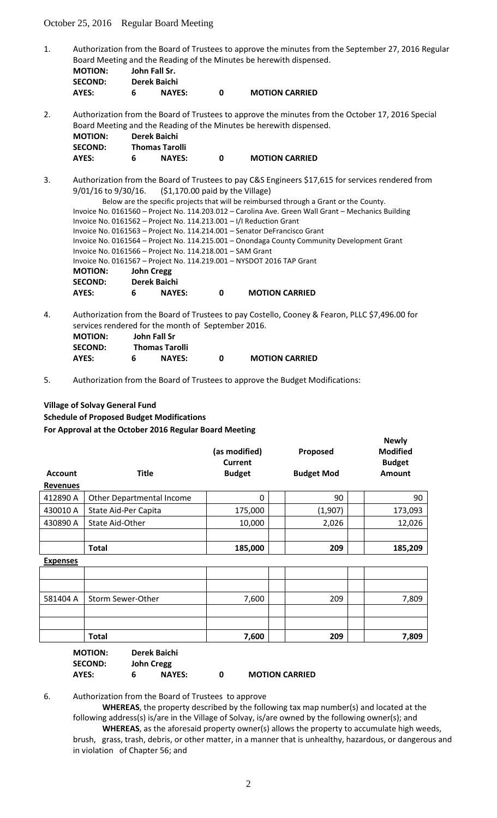October 25, 2016 Regular Board Meeting

1. Authorization from the Board of Trustees to approve the minutes from the September 27, 2016 Regular Board Meeting and the Reading of the Minutes be herewith dispensed.

| <b>MOTION:</b> | John Fall Sr.       |  |  |
|----------------|---------------------|--|--|
| <b>SECOND:</b> | Derek Baichi        |  |  |
| <b>AVEC.</b>   | <b>NAVES</b> .<br>G |  |  |

**AYES: 6 NAYES: 0 MOTION CARRIED**

2. Authorization from the Board of Trustees to approve the minutes from the October 17, 2016 Special Board Meeting and the Reading of the Minutes be herewith dispensed.

| <b>MOTION:</b> | Derek Baichi          |                       |
|----------------|-----------------------|-----------------------|
| <b>SECOND:</b> | <b>Thomas Tarolli</b> |                       |
| AYES:          | <b>NAYES:</b>         | <b>MOTION CARRIED</b> |

- 3. Authorization from the Board of Trustees to pay C&S Engineers \$17,615 for services rendered from 9/01/16 to 9/30/16. (\$1,170.00 paid by the Village) Below are the specific projects that will be reimbursed through a Grant or the County. Invoice No. 0161560 – Project No. 114.203.012 – Carolina Ave. Green Wall Grant – Mechanics Building Invoice No. 0161562 – Project No. 114.213.001 – I/I Reduction Grant Invoice No. 0161563 – Project No. 114.214.001 – Senator DeFrancisco Grant Invoice No. 0161564 – Project No. 114.215.001 – Onondaga County Community Development Grant Invoice No. 0161566 – Project No. 114.218.001 – SAM Grant Invoice No. 0161567 – Project No. 114.219.001 – NYSDOT 2016 TAP Grant **MOTION: John Cregg SECOND: Derek Baichi AYES: 6 NAYES: 0 MOTION CARRIED**
- 4. Authorization from the Board of Trustees to pay Costello, Cooney & Fearon, PLLC \$7,496.00 for services rendered for the month of September 2016.

| <b>MOTION:</b> |   | John Fall Sr          |   |                       |
|----------------|---|-----------------------|---|-----------------------|
| <b>SECOND:</b> |   | <b>Thomas Tarolli</b> |   |                       |
| AYES:          | 6 | <b>NAYES:</b>         | n | <b>MOTION CARRIED</b> |

5. Authorization from the Board of Trustees to approve the Budget Modifications:

# **Village of Solvay General Fund Schedule of Proposed Budget Modifications For Approval at the October 2016 Regular Board Meeting**

| <b>Account</b><br><b>Revenues</b> | <b>Title</b>              | (as modified)<br>Current<br><b>Budget</b> | Proposed<br><b>Budget Mod</b> | <b>Modified</b><br><b>Budget</b><br><b>Amount</b> |
|-----------------------------------|---------------------------|-------------------------------------------|-------------------------------|---------------------------------------------------|
| 412890 A                          | Other Departmental Income | 0                                         | 90                            | 90                                                |
| 430010 A                          | State Aid-Per Capita      | 175,000                                   | (1,907)                       | 173,093                                           |
| 430890 A                          | State Aid-Other           | 10,000                                    | 2,026                         | 12,026                                            |
|                                   |                           |                                           |                               |                                                   |
|                                   | <b>Total</b>              | 185,000                                   | 209                           | 185,209                                           |
|                                   |                           |                                           |                               |                                                   |

**Newly** 

**Expenses** 581404 A Storm Sewer-Other | 7,600 | 209 | 7,809 **Total 7,600 209 7,809** 

| <b>MOTION:</b> |   | Derek Baichi      |   |                       |
|----------------|---|-------------------|---|-----------------------|
| <b>SECOND:</b> |   | <b>John Cregg</b> |   |                       |
| AYES:          | 6 | <b>NAYES:</b>     | n | <b>MOTION CARRIED</b> |

6. Authorization from the Board of Trustees to approve

**WHEREAS**, the property described by the following tax map number(s) and located at the following address(s) is/are in the Village of Solvay, is/are owned by the following owner(s); and

**WHEREAS**, as the aforesaid property owner(s) allows the property to accumulate high weeds, brush, grass, trash, debris, or other matter, in a manner that is unhealthy, hazardous, or dangerous and in violation of Chapter 56; and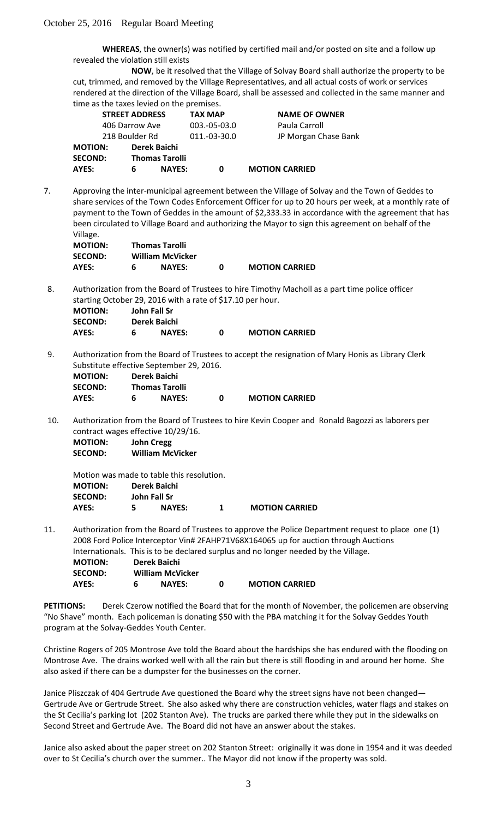**WHEREAS**, the owner(s) was notified by certified mail and/or posted on site and a follow up revealed the violation still exists

**NOW**, be it resolved that the Village of Solvay Board shall authorize the property to be cut, trimmed, and removed by the Village Representatives, and all actual costs of work or services rendered at the direction of the Village Board, shall be assessed and collected in the same manner and time as the taxes levied on the premises.

|                | <b>STREET ADDRESS</b> |                       | <b>TAX MAP</b> | <b>NAME OF OWNER</b>  |
|----------------|-----------------------|-----------------------|----------------|-----------------------|
|                | 406 Darrow Ave        |                       | $003.-05-03.0$ | Paula Carroll         |
|                | 218 Boulder Rd        |                       | 011.-03-30.0   | JP Morgan Chase Bank  |
| <b>MOTION:</b> |                       | Derek Baichi          |                |                       |
| <b>SECOND:</b> |                       | <b>Thomas Tarolli</b> |                |                       |
| AYES:          | 6                     | <b>NAYES:</b>         | 0              | <b>MOTION CARRIED</b> |

7. Approving the inter-municipal agreement between the Village of Solvay and the Town of Geddes to share services of the Town Codes Enforcement Officer for up to 20 hours per week, at a monthly rate of payment to the Town of Geddes in the amount of \$2,333.33 in accordance with the agreement that has been circulated to Village Board and authorizing the Mayor to sign this agreement on behalf of the Village.

| <b>MOTION:</b> |   | <b>Thomas Tarolli</b>   |                       |
|----------------|---|-------------------------|-----------------------|
| <b>SECOND:</b> |   | <b>William McVicker</b> |                       |
| AYES:          | 6 | <b>NAYES:</b>           | <b>MOTION CARRIED</b> |

8. Authorization from the Board of Trustees to hire Timothy Macholl as a part time police officer starting October 29, 2016 with a rate of \$17.10 per hour.<br>MOTION:

| <b>MOTION:</b> | John Fall Sr  |   |                       |
|----------------|---------------|---|-----------------------|
| <b>SECOND:</b> | Derek Baichi  |   |                       |
| AYES:          | <b>NAYES:</b> | n | <b>MOTION CARRIED</b> |

9. Authorization from the Board of Trustees to accept the resignation of Mary Honis as Library Clerk Substitute effective September 29, 2016.

| <b>MOTION:</b> |   | Derek Baichi          |   |                       |
|----------------|---|-----------------------|---|-----------------------|
| <b>SECOND:</b> |   | <b>Thomas Tarolli</b> |   |                       |
| AYES:          | 6 | <b>NAYES:</b>         | n | <b>MOTION CARRIED</b> |

10. Authorization from the Board of Trustees to hire Kevin Cooper and Ronald Bagozzi as laborers per contract wages effective 10/29/16.

**MOTION: John Cregg SECOND: William McVicker** 

Motion was made to table this resolution. **MOTION: Derek Baichi SECOND: John Fall Sr AYES: 5 NAYES: 1 MOTION CARRIED**

11. Authorization from the Board of Trustees to approve the Police Department request to place one (1) 2008 Ford Police Interceptor Vin# 2FAHP71V68X164065 up for auction through Auctions Internationals. This is to be declared surplus and no longer needed by the Village. **MOTION: Derek Baichi SECOND: William McVicker AYES: 6 NAYES: 0 MOTION CARRIED**

**PETITIONS:** Derek Czerow notified the Board that for the month of November, the policemen are observing "No Shave" month. Each policeman is donating \$50 with the PBA matching it for the Solvay Geddes Youth program at the Solvay-Geddes Youth Center.

Christine Rogers of 205 Montrose Ave told the Board about the hardships she has endured with the flooding on Montrose Ave. The drains worked well with all the rain but there is still flooding in and around her home. She also asked if there can be a dumpster for the businesses on the corner.

Janice Pliszczak of 404 Gertrude Ave questioned the Board why the street signs have not been changed— Gertrude Ave or Gertrude Street. She also asked why there are construction vehicles, water flags and stakes on the St Cecilia's parking lot (202 Stanton Ave). The trucks are parked there while they put in the sidewalks on Second Street and Gertrude Ave. The Board did not have an answer about the stakes.

Janice also asked about the paper street on 202 Stanton Street: originally it was done in 1954 and it was deeded over to St Cecilia's church over the summer.. The Mayor did not know if the property was sold.